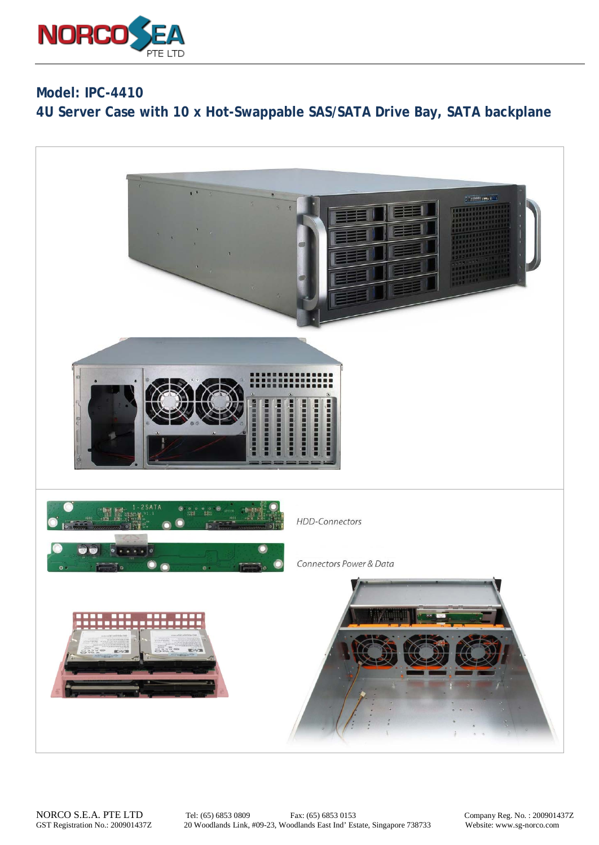

**Model: IPC-4410 4U Server Case with 10 x Hot-Swappable SAS/SATA Drive Bay, SATA backplane**